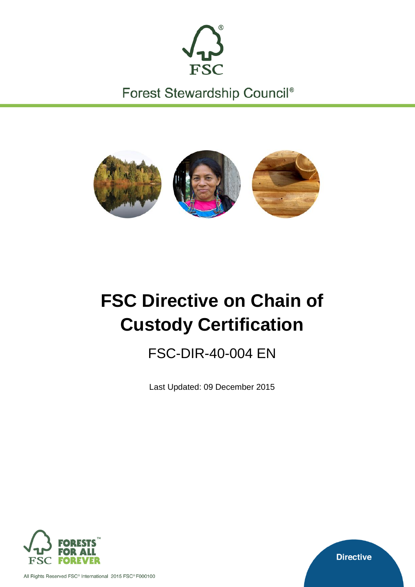

Forest Stewardship Council®



# **FSC Directive on Chain of Custody Certification**

FSC-DIR-40-004 EN

Last Updated: 09 December 2015



All Rights Reserved FSC<sup>®</sup> International 2015 FSC® F000100

**Directive**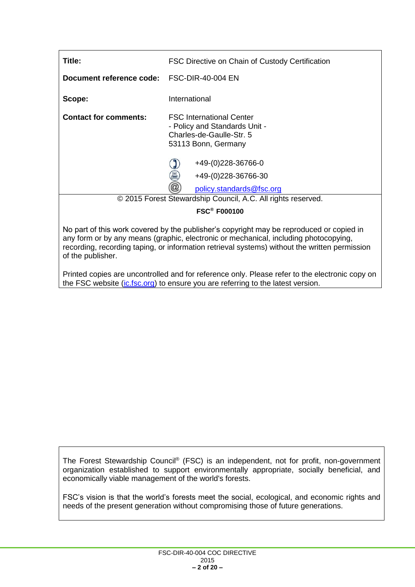| Title:                                     | FSC Directive on Chain of Custody Certification                                                                                                                                                                                                                                   |
|--------------------------------------------|-----------------------------------------------------------------------------------------------------------------------------------------------------------------------------------------------------------------------------------------------------------------------------------|
| Document reference code: FSC-DIR-40-004 EN |                                                                                                                                                                                                                                                                                   |
| Scope:                                     | International                                                                                                                                                                                                                                                                     |
| <b>Contact for comments:</b>               | <b>FSC International Center</b><br>- Policy and Standards Unit -<br>Charles-de-Gaulle-Str. 5<br>53113 Bonn, Germany                                                                                                                                                               |
|                                            | +49-(0)228-36766-0<br>昌<br>+49-(0)228-36766-30<br>$^{\textregistered}$<br>policy.standards@fsc.org                                                                                                                                                                                |
|                                            | © 2015 Forest Stewardship Council, A.C. All rights reserved.                                                                                                                                                                                                                      |
|                                            | <b>FSC<sup>®</sup> F000100</b>                                                                                                                                                                                                                                                    |
| of the publisher.                          | No part of this work covered by the publisher's copyright may be reproduced or copied in<br>any form or by any means (graphic, electronic or mechanical, including photocopying,<br>recording, recording taping, or information retrieval systems) without the written permission |

Printed copies are uncontrolled and for reference only. Please refer to the electronic copy on the FSC website [\(ic.fsc.org\)](http://ic.fsc.org/) to ensure you are referring to the latest version.

The Forest Stewardship Council® (FSC) is an independent, not for profit, non-government organization established to support environmentally appropriate, socially beneficial, and economically viable management of the world's forests.

FSC's vision is that the world's forests meet the social, ecological, and economic rights and needs of the present generation without compromising those of future generations.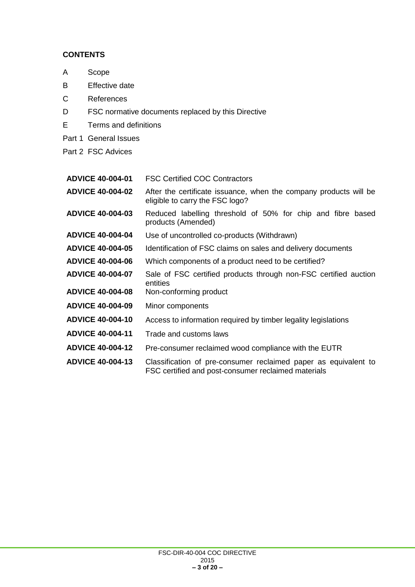# **CONTENTS**

- A Scope
- B Effective date
- C References
- D FSC normative documents replaced by this Directive
- E Terms and definitions
- Part 1 General Issues
- Part 2 FSC Advices
- **ADVICE 40-004-01** FSC Certified COC Contractors
- **ADVICE 40-004-02** After the certificate issuance, when the company products will be eligible to carry the FSC logo?
- **ADVICE 40-004-03** Reduced labelling threshold of 50% for chip and fibre based products (Amended)
- **ADVICE 40-004-04** Use of uncontrolled co-products (Withdrawn)
- **ADVICE 40-004-05** Identification of FSC claims on sales and delivery documents
- **ADVICE 40-004-06** Which components of a product need to be certified?
- **ADVICE 40-004-07** Sale of FSC certified products through non-FSC certified auction entities
- **ADVICE 40-004-08** Non-conforming product
- **ADVICE 40-004-09** Minor components
- **ADVICE 40-004-10** Access to information required by timber legality legislations
- **ADVICE 40-004-11** Trade and customs laws
- **ADVICE 40-004-12** Pre-consumer reclaimed wood compliance with the EUTR
- **ADVICE 40-004-13** Classification of pre-consumer reclaimed paper as equivalent to FSC certified and post-consumer reclaimed materials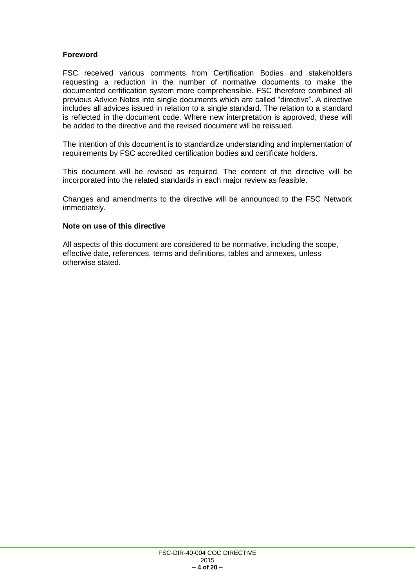## **Foreword**

FSC received various comments from Certification Bodies and stakeholders requesting a reduction in the number of normative documents to make the documented certification system more comprehensible. FSC therefore combined all previous Advice Notes into single documents which are called "directive". A directive includes all advices issued in relation to a single standard. The relation to a standard is reflected in the document code. Where new interpretation is approved, these will be added to the directive and the revised document will be reissued.

The intention of this document is to standardize understanding and implementation of requirements by FSC accredited certification bodies and certificate holders.

This document will be revised as required. The content of the directive will be incorporated into the related standards in each major review as feasible.

Changes and amendments to the directive will be announced to the FSC Network immediately.

#### **Note on use of this directive**

All aspects of this document are considered to be normative, including the scope, effective date, references, terms and definitions, tables and annexes, unless otherwise stated.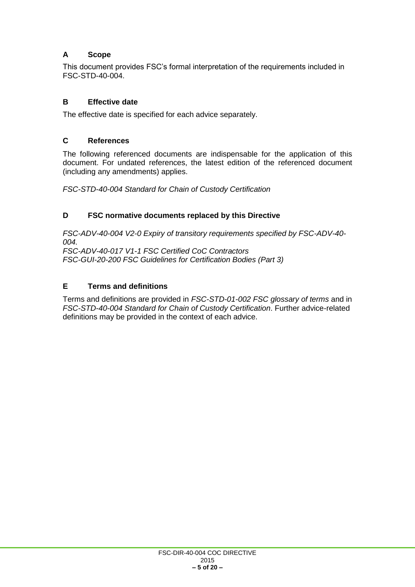# **A Scope**

This document provides FSC's formal interpretation of the requirements included in FSC-STD-40-004.

## **B Effective date**

The effective date is specified for each advice separately.

#### **C References**

The following referenced documents are indispensable for the application of this document. For undated references, the latest edition of the referenced document (including any amendments) applies.

*FSC-STD-40-004 Standard for Chain of Custody Certification*

#### **D FSC normative documents replaced by this Directive**

*FSC-ADV-40-004 V2-0 Expiry of transitory requirements specified by FSC-ADV-40- 004. FSC-ADV-40-017 V1-1 FSC Certified CoC Contractors*

*FSC-GUI-20-200 FSC Guidelines for Certification Bodies (Part 3)*

# **E Terms and definitions**

Terms and definitions are provided in *FSC-STD-01-002 FSC glossary of terms* and in *FSC-STD-40-004 Standard for Chain of Custody Certification*. Further advice-related definitions may be provided in the context of each advice.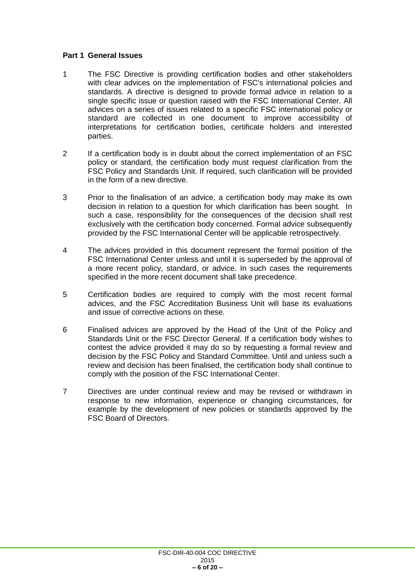#### **Part 1 General Issues**

- 1 The FSC Directive is providing certification bodies and other stakeholders with clear advices on the implementation of FSC's international policies and standards. A directive is designed to provide formal advice in relation to a single specific issue or question raised with the FSC International Center. All advices on a series of issues related to a specific FSC international policy or standard are collected in one document to improve accessibility of interpretations for certification bodies, certificate holders and interested parties.
- 2 If a certification body is in doubt about the correct implementation of an FSC policy or standard, the certification body must request clarification from the FSC Policy and Standards Unit. If required, such clarification will be provided in the form of a new directive.
- 3 Prior to the finalisation of an advice, a certification body may make its own decision in relation to a question for which clarification has been sought. In such a case, responsibility for the consequences of the decision shall rest exclusively with the certification body concerned. Formal advice subsequently provided by the FSC International Center will be applicable retrospectively.
- 4 The advices provided in this document represent the formal position of the FSC International Center unless and until it is superseded by the approval of a more recent policy, standard, or advice. In such cases the requirements specified in the more recent document shall take precedence.
- 5 Certification bodies are required to comply with the most recent formal advices, and the FSC Accreditation Business Unit will base its evaluations and issue of corrective actions on these.
- 6 Finalised advices are approved by the Head of the Unit of the Policy and Standards Unit or the FSC Director General. If a certification body wishes to contest the advice provided it may do so by requesting a formal review and decision by the FSC Policy and Standard Committee. Until and unless such a review and decision has been finalised, the certification body shall continue to comply with the position of the FSC International Center.
- 7 Directives are under continual review and may be revised or withdrawn in response to new information, experience or changing circumstances, for example by the development of new policies or standards approved by the FSC Board of Directors.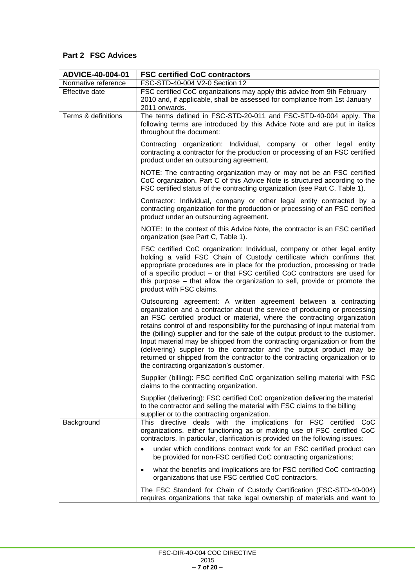# **Part 2 FSC Advices**

| ADVICE-40-004-01    | <b>FSC certified CoC contractors</b>                                                                                                                                                                                                                                                                                                                                                                                                                                                                                                                                                                                                                                                 |
|---------------------|--------------------------------------------------------------------------------------------------------------------------------------------------------------------------------------------------------------------------------------------------------------------------------------------------------------------------------------------------------------------------------------------------------------------------------------------------------------------------------------------------------------------------------------------------------------------------------------------------------------------------------------------------------------------------------------|
| Normative reference | FSC-STD-40-004 V2-0 Section 12                                                                                                                                                                                                                                                                                                                                                                                                                                                                                                                                                                                                                                                       |
| Effective date      | FSC certified CoC organizations may apply this advice from 9th February<br>2010 and, if applicable, shall be assessed for compliance from 1st January<br>2011 onwards.                                                                                                                                                                                                                                                                                                                                                                                                                                                                                                               |
| Terms & definitions | The terms defined in FSC-STD-20-011 and FSC-STD-40-004 apply. The<br>following terms are introduced by this Advice Note and are put in italics<br>throughout the document:                                                                                                                                                                                                                                                                                                                                                                                                                                                                                                           |
|                     | Contracting organization: Individual, company or other legal entity<br>contracting a contractor for the production or processing of an FSC certified<br>product under an outsourcing agreement.                                                                                                                                                                                                                                                                                                                                                                                                                                                                                      |
|                     | NOTE: The contracting organization may or may not be an FSC certified<br>CoC organization. Part C of this Advice Note is structured according to the<br>FSC certified status of the contracting organization (see Part C, Table 1).                                                                                                                                                                                                                                                                                                                                                                                                                                                  |
|                     | Contractor: Individual, company or other legal entity contracted by a<br>contracting organization for the production or processing of an FSC certified<br>product under an outsourcing agreement.                                                                                                                                                                                                                                                                                                                                                                                                                                                                                    |
|                     | NOTE: In the context of this Advice Note, the contractor is an FSC certified<br>organization (see Part C, Table 1).                                                                                                                                                                                                                                                                                                                                                                                                                                                                                                                                                                  |
|                     | FSC certified CoC organization: Individual, company or other legal entity<br>holding a valid FSC Chain of Custody certificate which confirms that<br>appropriate procedures are in place for the production, processing or trade<br>of a specific product – or that FSC certified CoC contractors are used for<br>this purpose – that allow the organization to sell, provide or promote the<br>product with FSC claims.                                                                                                                                                                                                                                                             |
|                     | Outsourcing agreement: A written agreement between a contracting<br>organization and a contractor about the service of producing or processing<br>an FSC certified product or material, where the contracting organization<br>retains control of and responsibility for the purchasing of input material from<br>the (billing) supplier and for the sale of the output product to the customer.<br>Input material may be shipped from the contracting organization or from the<br>(delivering) supplier to the contractor and the output product may be<br>returned or shipped from the contractor to the contracting organization or to<br>the contracting organization's customer. |
|                     | Supplier (billing): FSC certified CoC organization selling material with FSC<br>claims to the contracting organization.                                                                                                                                                                                                                                                                                                                                                                                                                                                                                                                                                              |
|                     | Supplier (delivering): FSC certified CoC organization delivering the material<br>to the contractor and selling the material with FSC claims to the billing<br>supplier or to the contracting organization.                                                                                                                                                                                                                                                                                                                                                                                                                                                                           |
| Background          | This directive deals with the implications for FSC certified CoC<br>organizations, either functioning as or making use of FSC certified CoC<br>contractors. In particular, clarification is provided on the following issues:                                                                                                                                                                                                                                                                                                                                                                                                                                                        |
|                     | under which conditions contract work for an FSC certified product can<br>be provided for non-FSC certified CoC contracting organizations;                                                                                                                                                                                                                                                                                                                                                                                                                                                                                                                                            |
|                     | what the benefits and implications are for FSC certified CoC contracting<br>organizations that use FSC certified CoC contractors.                                                                                                                                                                                                                                                                                                                                                                                                                                                                                                                                                    |
|                     | The FSC Standard for Chain of Custody Certification (FSC-STD-40-004)<br>requires organizations that take legal ownership of materials and want to                                                                                                                                                                                                                                                                                                                                                                                                                                                                                                                                    |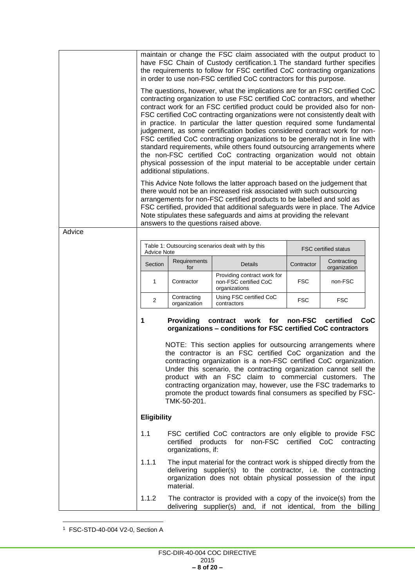|        |                                                                                                                                                                                                                                                                                                                                                                                                                                                                                                                                                                                                                                   |                                 | maintain or change the FSC claim associated with the output product to<br>have FSC Chain of Custody certification.1 The standard further specifies<br>the requirements to follow for FSC certified CoC contracting organizations<br>in order to use non-FSC certified CoC contractors for this purpose.                                                                                                                                                                                                                                                                                                                                                                                                                                                                                        |            |                                   |  |
|--------|-----------------------------------------------------------------------------------------------------------------------------------------------------------------------------------------------------------------------------------------------------------------------------------------------------------------------------------------------------------------------------------------------------------------------------------------------------------------------------------------------------------------------------------------------------------------------------------------------------------------------------------|---------------------------------|------------------------------------------------------------------------------------------------------------------------------------------------------------------------------------------------------------------------------------------------------------------------------------------------------------------------------------------------------------------------------------------------------------------------------------------------------------------------------------------------------------------------------------------------------------------------------------------------------------------------------------------------------------------------------------------------------------------------------------------------------------------------------------------------|------------|-----------------------------------|--|
|        |                                                                                                                                                                                                                                                                                                                                                                                                                                                                                                                                                                                                                                   | additional stipulations.        | The questions, however, what the implications are for an FSC certified CoC<br>contracting organization to use FSC certified CoC contractors, and whether<br>contract work for an FSC certified product could be provided also for non-<br>FSC certified CoC contracting organizations were not consistently dealt with<br>in practice. In particular the latter question required some fundamental<br>judgement, as some certification bodies considered contract work for non-<br>FSC certified CoC contracting organizations to be generally not in line with<br>standard requirements, while others found outsourcing arrangements where<br>the non-FSC certified CoC contracting organization would not obtain<br>physical possession of the input material to be acceptable under certain |            |                                   |  |
|        |                                                                                                                                                                                                                                                                                                                                                                                                                                                                                                                                                                                                                                   |                                 | This Advice Note follows the latter approach based on the judgement that<br>there would not be an increased risk associated with such outsourcing                                                                                                                                                                                                                                                                                                                                                                                                                                                                                                                                                                                                                                              |            |                                   |  |
|        |                                                                                                                                                                                                                                                                                                                                                                                                                                                                                                                                                                                                                                   |                                 | arrangements for non-FSC certified products to be labelled and sold as                                                                                                                                                                                                                                                                                                                                                                                                                                                                                                                                                                                                                                                                                                                         |            |                                   |  |
|        |                                                                                                                                                                                                                                                                                                                                                                                                                                                                                                                                                                                                                                   |                                 | FSC certified, provided that additional safeguards were in place. The Advice<br>Note stipulates these safeguards and aims at providing the relevant                                                                                                                                                                                                                                                                                                                                                                                                                                                                                                                                                                                                                                            |            |                                   |  |
| Advice |                                                                                                                                                                                                                                                                                                                                                                                                                                                                                                                                                                                                                                   |                                 | answers to the questions raised above.                                                                                                                                                                                                                                                                                                                                                                                                                                                                                                                                                                                                                                                                                                                                                         |            |                                   |  |
|        | <b>Advice Note</b>                                                                                                                                                                                                                                                                                                                                                                                                                                                                                                                                                                                                                |                                 | Table 1: Outsourcing scenarios dealt with by this                                                                                                                                                                                                                                                                                                                                                                                                                                                                                                                                                                                                                                                                                                                                              |            | <b>FSC certified status</b>       |  |
|        | Section                                                                                                                                                                                                                                                                                                                                                                                                                                                                                                                                                                                                                           | Requirements<br>for             | Details                                                                                                                                                                                                                                                                                                                                                                                                                                                                                                                                                                                                                                                                                                                                                                                        | Contractor | Contracting<br>organization       |  |
|        | 1                                                                                                                                                                                                                                                                                                                                                                                                                                                                                                                                                                                                                                 | Contractor                      | Providing contract work for<br>non-FSC certified CoC<br>organizations                                                                                                                                                                                                                                                                                                                                                                                                                                                                                                                                                                                                                                                                                                                          | <b>FSC</b> | non-FSC                           |  |
|        | 2                                                                                                                                                                                                                                                                                                                                                                                                                                                                                                                                                                                                                                 | Contracting<br>organization     | Using FSC certified CoC<br>contractors                                                                                                                                                                                                                                                                                                                                                                                                                                                                                                                                                                                                                                                                                                                                                         | <b>FSC</b> | <b>FSC</b>                        |  |
|        | contract work for non-FSC<br>CoC<br><b>Providing</b><br>certified<br>1<br>organizations - conditions for FSC certified CoC contractors<br>NOTE: This section applies for outsourcing arrangements where<br>the contractor is an FSC certified CoC organization and the<br>contracting organization is a non-FSC certified CoC organization.<br>Under this scenario, the contracting organization cannot sell the<br>product with an FSC claim to commercial customers. The<br>contracting organization may, however, use the FSC trademarks to<br>promote the product towards final consumers as specified by FSC-<br>TMK-50-201. |                                 |                                                                                                                                                                                                                                                                                                                                                                                                                                                                                                                                                                                                                                                                                                                                                                                                |            |                                   |  |
|        | <b>Eligibility</b>                                                                                                                                                                                                                                                                                                                                                                                                                                                                                                                                                                                                                |                                 |                                                                                                                                                                                                                                                                                                                                                                                                                                                                                                                                                                                                                                                                                                                                                                                                |            |                                   |  |
|        | 1.1                                                                                                                                                                                                                                                                                                                                                                                                                                                                                                                                                                                                                               | certified<br>organizations, if: | FSC certified CoC contractors are only eligible to provide FSC<br>products for                                                                                                                                                                                                                                                                                                                                                                                                                                                                                                                                                                                                                                                                                                                 |            | non-FSC certified CoC contracting |  |
|        | 1.1.1                                                                                                                                                                                                                                                                                                                                                                                                                                                                                                                                                                                                                             | material.                       | The input material for the contract work is shipped directly from the<br>delivering supplier(s) to the contractor, i.e. the contracting<br>organization does not obtain physical possession of the input                                                                                                                                                                                                                                                                                                                                                                                                                                                                                                                                                                                       |            |                                   |  |
|        | 1.1.2                                                                                                                                                                                                                                                                                                                                                                                                                                                                                                                                                                                                                             |                                 | The contractor is provided with a copy of the invoice(s) from the<br>delivering supplier(s) and, if not identical, from the billing                                                                                                                                                                                                                                                                                                                                                                                                                                                                                                                                                                                                                                                            |            |                                   |  |

<sup>1</sup> FSC-STD-40-004 V2-0, Section A

 $\overline{\phantom{a}}$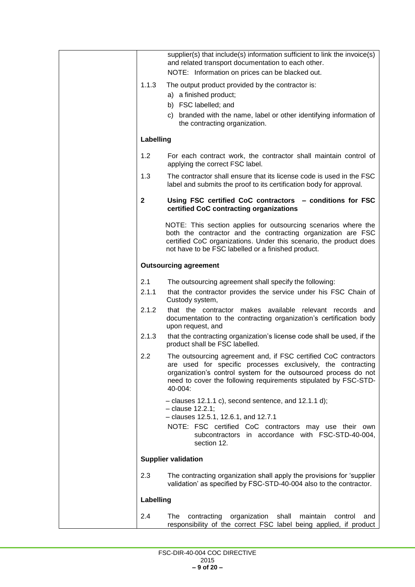|              | supplier(s) that include(s) information sufficient to link the invoice(s)<br>and related transport documentation to each other.<br>NOTE: Information on prices can be blacked out.                                                                                               |
|--------------|----------------------------------------------------------------------------------------------------------------------------------------------------------------------------------------------------------------------------------------------------------------------------------|
| 1.1.3        | The output product provided by the contractor is:<br>a) a finished product;<br>b) FSC labelled; and<br>c) branded with the name, label or other identifying information of                                                                                                       |
|              | the contracting organization.                                                                                                                                                                                                                                                    |
| Labelling    |                                                                                                                                                                                                                                                                                  |
| 1.2          | For each contract work, the contractor shall maintain control of<br>applying the correct FSC label.                                                                                                                                                                              |
| 1.3          | The contractor shall ensure that its license code is used in the FSC<br>label and submits the proof to its certification body for approval.                                                                                                                                      |
| $\mathbf{2}$ | Using FSC certified CoC contractors - conditions for FSC<br>certified CoC contracting organizations                                                                                                                                                                              |
|              | NOTE: This section applies for outsourcing scenarios where the<br>both the contractor and the contracting organization are FSC<br>certified CoC organizations. Under this scenario, the product does<br>not have to be FSC labelled or a finished product.                       |
|              | <b>Outsourcing agreement</b>                                                                                                                                                                                                                                                     |
| 2.1<br>2.1.1 | The outsourcing agreement shall specify the following:<br>that the contractor provides the service under his FSC Chain of<br>Custody system,                                                                                                                                     |
| 2.1.2        | that the contractor makes available relevant<br>records and<br>documentation to the contracting organization's certification body<br>upon request, and                                                                                                                           |
| 2.1.3        | that the contracting organization's license code shall be used, if the<br>product shall be FSC labelled.                                                                                                                                                                         |
| 2.2          | The outsourcing agreement and, if FSC certified CoC contractors<br>are used for specific processes exclusively, the contracting<br>organization's control system for the outsourced process do not<br>need to cover the following requirements stipulated by FSC-STD-<br>40-004: |
|              | $-$ clauses 12.1.1 c), second sentence, and 12.1.1 d);<br>- clause 12.2.1;                                                                                                                                                                                                       |
|              | - clauses 12.5.1, 12.6.1, and 12.7.1                                                                                                                                                                                                                                             |
|              | NOTE: FSC certified CoC contractors may use their own<br>subcontractors in accordance with FSC-STD-40-004,<br>section 12.                                                                                                                                                        |
|              | <b>Supplier validation</b>                                                                                                                                                                                                                                                       |
| 2.3          | The contracting organization shall apply the provisions for 'supplier<br>validation' as specified by FSC-STD-40-004 also to the contractor.                                                                                                                                      |
| Labelling    |                                                                                                                                                                                                                                                                                  |
| 2.4          | contracting<br>organization<br>maintain<br>The<br>shall<br>control<br>and<br>responsibility of the correct FSC label being applied, if product                                                                                                                                   |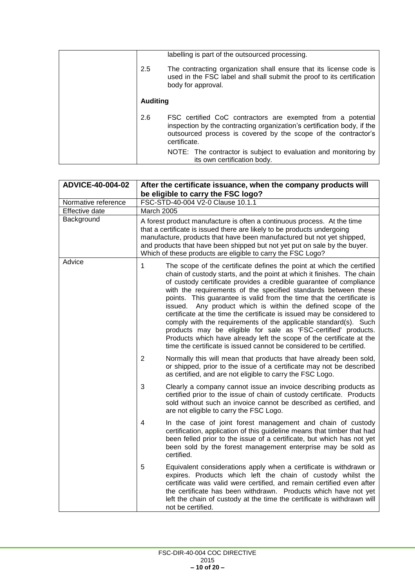| 2.5             | labelling is part of the outsourced processing.<br>The contracting organization shall ensure that its license code is                                                                                                    |
|-----------------|--------------------------------------------------------------------------------------------------------------------------------------------------------------------------------------------------------------------------|
|                 | used in the FSC label and shall submit the proof to its certification<br>body for approval.                                                                                                                              |
| <b>Auditing</b> |                                                                                                                                                                                                                          |
| 2.6             | FSC certified CoC contractors are exempted from a potential<br>inspection by the contracting organization's certification body, if the<br>outsourced process is covered by the scope of the contractor's<br>certificate. |
|                 | NOTE: The contractor is subject to evaluation and monitoring by<br>its own certification body.                                                                                                                           |

| ADVICE-40-004-02    | After the certificate issuance, when the company products will<br>be eligible to carry the FSC logo?                                                                                                                                                                                                                                                                                                                                                                                                                                                                                                                                                                                                                                                                                                                                                                                                                                                                  |
|---------------------|-----------------------------------------------------------------------------------------------------------------------------------------------------------------------------------------------------------------------------------------------------------------------------------------------------------------------------------------------------------------------------------------------------------------------------------------------------------------------------------------------------------------------------------------------------------------------------------------------------------------------------------------------------------------------------------------------------------------------------------------------------------------------------------------------------------------------------------------------------------------------------------------------------------------------------------------------------------------------|
| Normative reference | FSC-STD-40-004 V2-0 Clause 10.1.1                                                                                                                                                                                                                                                                                                                                                                                                                                                                                                                                                                                                                                                                                                                                                                                                                                                                                                                                     |
| Effective date      | March 2005                                                                                                                                                                                                                                                                                                                                                                                                                                                                                                                                                                                                                                                                                                                                                                                                                                                                                                                                                            |
| Background          | A forest product manufacture is often a continuous process. At the time<br>that a certificate is issued there are likely to be products undergoing<br>manufacture, products that have been manufactured but not yet shipped,<br>and products that have been shipped but not yet put on sale by the buyer.<br>Which of these products are eligible to carry the FSC Logo?                                                                                                                                                                                                                                                                                                                                                                                                                                                                                                                                                                                              |
| Advice              | 1<br>The scope of the certificate defines the point at which the certified<br>chain of custody starts, and the point at which it finishes. The chain<br>of custody certificate provides a credible guarantee of compliance<br>with the requirements of the specified standards between these<br>points. This guarantee is valid from the time that the certificate is<br>issued. Any product which is within the defined scope of the<br>certificate at the time the certificate is issued may be considered to<br>comply with the requirements of the applicable standard(s). Such<br>products may be eligible for sale as 'FSC-certified' products.<br>Products which have already left the scope of the certificate at the<br>time the certificate is issued cannot be considered to be certified.<br>$\overline{2}$<br>Normally this will mean that products that have already been sold,<br>or shipped, prior to the issue of a certificate may not be described |
|                     | as certified, and are not eligible to carry the FSC Logo.<br>3<br>Clearly a company cannot issue an invoice describing products as                                                                                                                                                                                                                                                                                                                                                                                                                                                                                                                                                                                                                                                                                                                                                                                                                                    |
|                     | certified prior to the issue of chain of custody certificate. Products<br>sold without such an invoice cannot be described as certified, and<br>are not eligible to carry the FSC Logo.                                                                                                                                                                                                                                                                                                                                                                                                                                                                                                                                                                                                                                                                                                                                                                               |
|                     | 4<br>In the case of joint forest management and chain of custody<br>certification, application of this guideline means that timber that had<br>been felled prior to the issue of a certificate, but which has not yet<br>been sold by the forest management enterprise may be sold as<br>certified.                                                                                                                                                                                                                                                                                                                                                                                                                                                                                                                                                                                                                                                                   |
|                     | Equivalent considerations apply when a certificate is withdrawn or<br>5<br>expires. Products which left the chain of custody whilst the<br>certificate was valid were certified, and remain certified even after<br>the certificate has been withdrawn. Products which have not yet<br>left the chain of custody at the time the certificate is withdrawn will<br>not be certified.                                                                                                                                                                                                                                                                                                                                                                                                                                                                                                                                                                                   |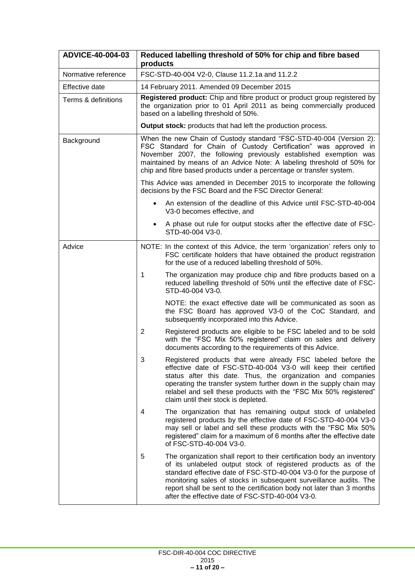| ADVICE-40-004-03    | Reduced labelling threshold of 50% for chip and fibre based<br>products                                                                                                                                                                                                                                                                                                                                               |
|---------------------|-----------------------------------------------------------------------------------------------------------------------------------------------------------------------------------------------------------------------------------------------------------------------------------------------------------------------------------------------------------------------------------------------------------------------|
| Normative reference | FSC-STD-40-004 V2-0, Clause 11.2.1a and 11.2.2                                                                                                                                                                                                                                                                                                                                                                        |
| Effective date      | 14 February 2011. Amended 09 December 2015                                                                                                                                                                                                                                                                                                                                                                            |
| Terms & definitions | Registered product: Chip and fibre product or product group registered by<br>the organization prior to 01 April 2011 as being commercially produced<br>based on a labelling threshold of 50%.                                                                                                                                                                                                                         |
|                     | <b>Output stock:</b> products that had left the production process.                                                                                                                                                                                                                                                                                                                                                   |
| Background          | When the new Chain of Custody standard "FSC-STD-40-004 (Version 2):<br>FSC Standard for Chain of Custody Certification" was approved in<br>November 2007, the following previously established exemption was<br>maintained by means of an Advice Note: A labeling threshold of 50% for<br>chip and fibre based products under a percentage or transfer system.                                                        |
|                     | This Advice was amended in December 2015 to incorporate the following<br>decisions by the FSC Board and the FSC Director General:                                                                                                                                                                                                                                                                                     |
|                     | An extension of the deadline of this Advice until FSC-STD-40-004<br>V3-0 becomes effective, and                                                                                                                                                                                                                                                                                                                       |
|                     | A phase out rule for output stocks after the effective date of FSC-<br>$\bullet$<br>STD-40-004 V3-0.                                                                                                                                                                                                                                                                                                                  |
| Advice              | NOTE: In the context of this Advice, the term 'organization' refers only to<br>FSC certificate holders that have obtained the product registration<br>for the use of a reduced labelling threshold of 50%.                                                                                                                                                                                                            |
|                     | 1<br>The organization may produce chip and fibre products based on a<br>reduced labelling threshold of 50% until the effective date of FSC-<br>STD-40-004 V3-0.                                                                                                                                                                                                                                                       |
|                     | NOTE: the exact effective date will be communicated as soon as<br>the FSC Board has approved V3-0 of the CoC Standard, and<br>subsequently incorporated into this Advice.                                                                                                                                                                                                                                             |
|                     | $\overline{2}$<br>Registered products are eligible to be FSC labeled and to be sold<br>with the "FSC Mix 50% registered" claim on sales and delivery<br>documents according to the requirements of this Advice.                                                                                                                                                                                                       |
|                     | 3<br>Registered products that were already FSC labeled before the<br>effective date of FSC-STD-40-004 V3-0 will keep their certified<br>status after this date. Thus, the organization and companies<br>operating the transfer system further down in the supply chain may<br>relabel and sell these products with the "FSC Mix 50% registered"<br>claim until their stock is depleted.                               |
|                     | The organization that has remaining output stock of unlabeled<br>4<br>registered products by the effective date of FSC-STD-40-004 V3-0<br>may sell or label and sell these products with the "FSC Mix 50%<br>registered" claim for a maximum of 6 months after the effective date<br>of FSC-STD-40-004 V3-0.                                                                                                          |
|                     | 5<br>The organization shall report to their certification body an inventory<br>of its unlabeled output stock of registered products as of the<br>standard effective date of FSC-STD-40-004 V3-0 for the purpose of<br>monitoring sales of stocks in subsequent surveillance audits. The<br>report shall be sent to the certification body not later than 3 months<br>after the effective date of FSC-STD-40-004 V3-0. |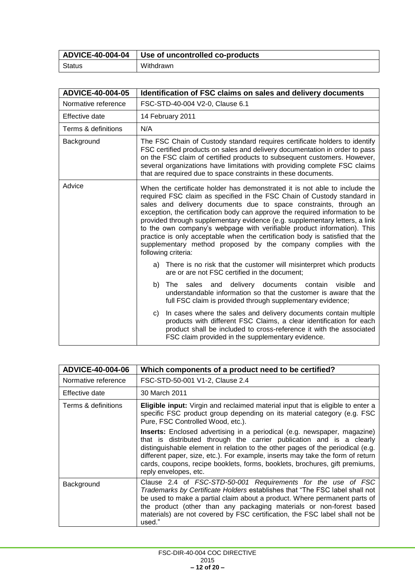| <b>ADVICE-40-004-04</b> | I Use of uncontrolled co-products |
|-------------------------|-----------------------------------|
| <b>Status</b>           | Withdrawn                         |

| ADVICE-40-004-05    | Identification of FSC claims on sales and delivery documents                                                                                                                                                                                                                                                                                                                                                                                                                                                                                                                                                                                   |  |
|---------------------|------------------------------------------------------------------------------------------------------------------------------------------------------------------------------------------------------------------------------------------------------------------------------------------------------------------------------------------------------------------------------------------------------------------------------------------------------------------------------------------------------------------------------------------------------------------------------------------------------------------------------------------------|--|
| Normative reference | FSC-STD-40-004 V2-0, Clause 6.1                                                                                                                                                                                                                                                                                                                                                                                                                                                                                                                                                                                                                |  |
| Effective date      | 14 February 2011                                                                                                                                                                                                                                                                                                                                                                                                                                                                                                                                                                                                                               |  |
| Terms & definitions | N/A                                                                                                                                                                                                                                                                                                                                                                                                                                                                                                                                                                                                                                            |  |
| Background          | The FSC Chain of Custody standard requires certificate holders to identify<br>FSC certified products on sales and delivery documentation in order to pass<br>on the FSC claim of certified products to subsequent customers. However,<br>several organizations have limitations with providing complete FSC claims<br>that are required due to space constraints in these documents.                                                                                                                                                                                                                                                           |  |
| Advice              | When the certificate holder has demonstrated it is not able to include the<br>required FSC claim as specified in the FSC Chain of Custody standard in<br>sales and delivery documents due to space constraints, through an<br>exception, the certification body can approve the required information to be<br>provided through supplementary evidence (e.g. supplementary letters, a link<br>to the own company's webpage with verifiable product information). This<br>practice is only acceptable when the certification body is satisfied that the<br>supplementary method proposed by the company complies with the<br>following criteria: |  |
|                     | a) There is no risk that the customer will misinterpret which products<br>are or are not FSC certified in the document;                                                                                                                                                                                                                                                                                                                                                                                                                                                                                                                        |  |
|                     | and delivery documents contain<br>b) The<br>sales<br>visible<br>and<br>understandable information so that the customer is aware that the<br>full FSC claim is provided through supplementary evidence;                                                                                                                                                                                                                                                                                                                                                                                                                                         |  |
|                     | In cases where the sales and delivery documents contain multiple<br>C)<br>products with different FSC Claims, a clear identification for each<br>product shall be included to cross-reference it with the associated<br>FSC claim provided in the supplementary evidence.                                                                                                                                                                                                                                                                                                                                                                      |  |

| ADVICE-40-004-06    | Which components of a product need to be certified?                                                                                                                                                                                                                                                                                                                                                                          |
|---------------------|------------------------------------------------------------------------------------------------------------------------------------------------------------------------------------------------------------------------------------------------------------------------------------------------------------------------------------------------------------------------------------------------------------------------------|
| Normative reference | FSC-STD-50-001 V1-2, Clause 2.4                                                                                                                                                                                                                                                                                                                                                                                              |
| Effective date      | 30 March 2011                                                                                                                                                                                                                                                                                                                                                                                                                |
| Terms & definitions | <b>Eligible input:</b> Virgin and reclaimed material input that is eligible to enter a<br>specific FSC product group depending on its material category (e.g. FSC<br>Pure, FSC Controlled Wood, etc.).                                                                                                                                                                                                                       |
|                     | Inserts: Enclosed advertising in a periodical (e.g. newspaper, magazine)<br>that is distributed through the carrier publication and is a clearly<br>distinguishable element in relation to the other pages of the periodical (e.g.<br>different paper, size, etc.). For example, inserts may take the form of return<br>cards, coupons, recipe booklets, forms, booklets, brochures, gift premiums,<br>reply envelopes, etc. |
| Background          | Clause 2.4 of FSC-STD-50-001 Requirements for the use of FSC<br>Trademarks by Certificate Holders establishes that "The FSC label shall not<br>be used to make a partial claim about a product. Where permanent parts of<br>the product (other than any packaging materials or non-forest based<br>materials) are not covered by FSC certification, the FSC label shall not be<br>used."                                     |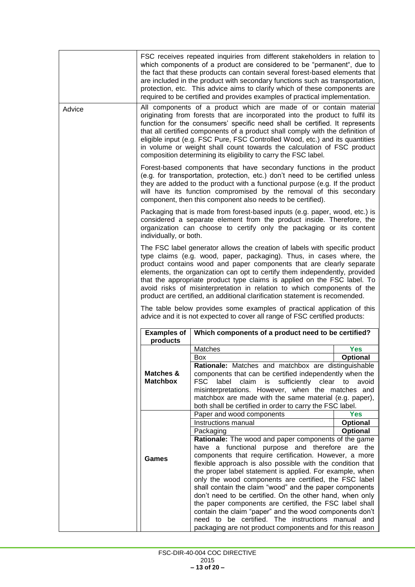|        |                              | FSC receives repeated inquiries from different stakeholders in relation to<br>which components of a product are considered to be "permanent", due to<br>the fact that these products can contain several forest-based elements that<br>are included in the product with secondary functions such as transportation,<br>protection, etc. This advice aims to clarify which of these components are<br>required to be certified and provides examples of practical implementation.                                                                                                                                                                                                                                                                                 |                                |
|--------|------------------------------|------------------------------------------------------------------------------------------------------------------------------------------------------------------------------------------------------------------------------------------------------------------------------------------------------------------------------------------------------------------------------------------------------------------------------------------------------------------------------------------------------------------------------------------------------------------------------------------------------------------------------------------------------------------------------------------------------------------------------------------------------------------|--------------------------------|
| Advice |                              | All components of a product which are made of or contain material<br>originating from forests that are incorporated into the product to fulfil its<br>function for the consumers' specific need shall be certified. It represents<br>that all certified components of a product shall comply with the definition of<br>eligible input (e.g. FSC Pure, FSC Controlled Wood, etc.) and its quantities<br>in volume or weight shall count towards the calculation of FSC product<br>composition determining its eligibility to carry the FSC label.                                                                                                                                                                                                                 |                                |
|        |                              | Forest-based components that have secondary functions in the product<br>(e.g. for transportation, protection, etc.) don't need to be certified unless<br>they are added to the product with a functional purpose (e.g. If the product<br>will have its function compromised by the removal of this secondary<br>component, then this component also needs to be certified).                                                                                                                                                                                                                                                                                                                                                                                      |                                |
|        | individually, or both.       | Packaging that is made from forest-based inputs (e.g. paper, wood, etc.) is<br>considered a separate element from the product inside. Therefore, the<br>organization can choose to certify only the packaging or its content                                                                                                                                                                                                                                                                                                                                                                                                                                                                                                                                     |                                |
|        | <b>Examples of</b>           | The FSC label generator allows the creation of labels with specific product<br>type claims (e.g. wood, paper, packaging). Thus, in cases where, the<br>product contains wood and paper components that are clearly separate<br>elements, the organization can opt to certify them independently, provided<br>that the appropriate product type claims is applied on the FSC label. To<br>avoid risks of misinterpretation in relation to which components of the<br>product are certified, an additional clarification statement is recomended.<br>The table below provides some examples of practical application of this<br>advice and it is not expected to cover all range of FSC certified products:<br>Which components of a product need to be certified? |                                |
|        | products                     |                                                                                                                                                                                                                                                                                                                                                                                                                                                                                                                                                                                                                                                                                                                                                                  |                                |
|        |                              | Matches                                                                                                                                                                                                                                                                                                                                                                                                                                                                                                                                                                                                                                                                                                                                                          | <b>Yes</b>                     |
|        | Matches &<br><b>Matchbox</b> | Box<br>Rationale: Matches and matchbox are distinguishable<br>components that can be certified independently when the<br><b>FSC</b><br>label<br>claim<br>is<br>sufficiently clear<br>misinterpretations. However, when the matches and<br>matchbox are made with the same material (e.g. paper),<br>both shall be certified in order to carry the FSC label.                                                                                                                                                                                                                                                                                                                                                                                                     | <b>Optional</b><br>avoid<br>to |
|        |                              | Paper and wood components                                                                                                                                                                                                                                                                                                                                                                                                                                                                                                                                                                                                                                                                                                                                        | <b>Yes</b>                     |
|        |                              | Instructions manual                                                                                                                                                                                                                                                                                                                                                                                                                                                                                                                                                                                                                                                                                                                                              | Optional                       |
|        |                              | Packaging                                                                                                                                                                                                                                                                                                                                                                                                                                                                                                                                                                                                                                                                                                                                                        | Optional                       |
|        |                              | Rationale: The wood and paper components of the game<br>have a functional purpose and therefore are the                                                                                                                                                                                                                                                                                                                                                                                                                                                                                                                                                                                                                                                          |                                |
|        |                              | components that require certification. However, a more                                                                                                                                                                                                                                                                                                                                                                                                                                                                                                                                                                                                                                                                                                           |                                |
|        | <b>Games</b>                 | flexible approach is also possible with the condition that                                                                                                                                                                                                                                                                                                                                                                                                                                                                                                                                                                                                                                                                                                       |                                |
|        |                              | the proper label statement is applied. For example, when                                                                                                                                                                                                                                                                                                                                                                                                                                                                                                                                                                                                                                                                                                         |                                |
|        |                              | only the wood components are certified, the FSC label                                                                                                                                                                                                                                                                                                                                                                                                                                                                                                                                                                                                                                                                                                            |                                |
|        |                              | shall contain the claim "wood" and the paper components<br>don't need to be certified. On the other hand, when only                                                                                                                                                                                                                                                                                                                                                                                                                                                                                                                                                                                                                                              |                                |
|        |                              | the paper components are certified, the FSC label shall                                                                                                                                                                                                                                                                                                                                                                                                                                                                                                                                                                                                                                                                                                          |                                |
|        |                              | contain the claim "paper" and the wood components don't                                                                                                                                                                                                                                                                                                                                                                                                                                                                                                                                                                                                                                                                                                          |                                |
|        |                              | need to be certified. The instructions manual and                                                                                                                                                                                                                                                                                                                                                                                                                                                                                                                                                                                                                                                                                                                |                                |
|        |                              | packaging are not product components and for this reason                                                                                                                                                                                                                                                                                                                                                                                                                                                                                                                                                                                                                                                                                                         |                                |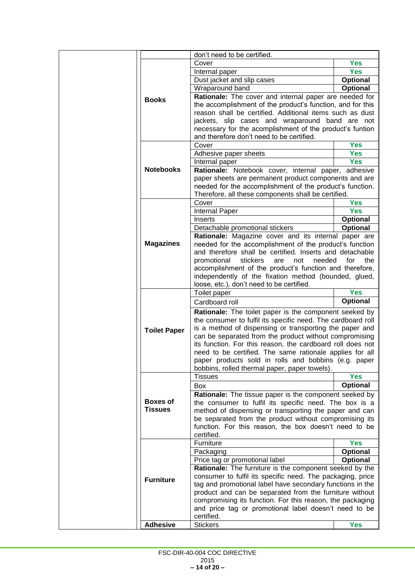|                     | don't need to be certified.                                                                                          |                 |
|---------------------|----------------------------------------------------------------------------------------------------------------------|-----------------|
|                     | Cover                                                                                                                | <b>Yes</b>      |
|                     | Internal paper                                                                                                       | <b>Yes</b>      |
|                     | Dust jacket and slip cases                                                                                           | Optional        |
|                     | Wraparound band                                                                                                      | Optional        |
| <b>Books</b>        | Rationale: The cover and internal paper are needed for                                                               |                 |
|                     | the accomplishment of the product's function, and for this                                                           |                 |
|                     | reason shall be certified. Additional items such as dust                                                             |                 |
|                     | jackets, slip cases and wraparound band are not                                                                      |                 |
|                     | necessary for the acomplishment of the product's funtion                                                             |                 |
|                     | and therefore don't need to be certified.                                                                            |                 |
|                     | Cover                                                                                                                | <b>Yes</b>      |
|                     | Adhesive paper sheets                                                                                                | <b>Yes</b>      |
|                     | Internal paper                                                                                                       | <b>Yes</b>      |
| <b>Notebooks</b>    | Rationale: Notebook cover, internal paper, adhesive                                                                  |                 |
|                     | paper sheets are permanent product components and are                                                                |                 |
|                     | needed for the accomplishment of the product's function.                                                             |                 |
|                     | Therefore, all these components shall be certified.                                                                  |                 |
|                     | Cover                                                                                                                | <b>Yes</b>      |
|                     | Internal Paper                                                                                                       | <b>Yes</b>      |
|                     | Inserts                                                                                                              | Optional        |
|                     | Detachable promotional stickers                                                                                      | <b>Optional</b> |
| <b>Magazines</b>    | Rationale: Magazine cover and its internal paper are<br>needed for the accomplishment of the product's function      |                 |
|                     | and therefore shall be certified. Inserts and detachable                                                             |                 |
|                     | promotional<br>stickers<br>are<br>not<br>needed                                                                      | for<br>the      |
|                     | accomplishment of the product's function and therefore,                                                              |                 |
|                     | independently of the fixation method (bounded, glued,                                                                |                 |
|                     | loose, etc.), don't need to be certified.                                                                            |                 |
|                     | Toilet paper                                                                                                         | <b>Yes</b>      |
|                     |                                                                                                                      |                 |
|                     |                                                                                                                      |                 |
|                     | Cardboard roll                                                                                                       | Optional        |
|                     | Rationale: The toilet paper is the component seeked by                                                               |                 |
|                     | the consumer to fulfil its specific need. The cardboard roll                                                         |                 |
| <b>Toilet Paper</b> | is a method of dispensing or transporting the paper and                                                              |                 |
|                     | can be separated from the product without compromising<br>its function. For this reason, the cardboard roll does not |                 |
|                     | need to be certified. The same rationale applies for all                                                             |                 |
|                     | paper products sold in rolls and bobbins (e.g. paper                                                                 |                 |
|                     | bobbins, rolled thermal paper, paper towels).                                                                        |                 |
|                     | <b>Tissues</b>                                                                                                       | <b>Yes</b>      |
|                     | <b>Box</b>                                                                                                           | <b>Optional</b> |
|                     | Rationale: The tissue paper is the component seeked by                                                               |                 |
| <b>Boxes of</b>     | the consumer to fulfil its specific need. The box is a                                                               |                 |
| <b>Tissues</b>      | method of dispensing or transporting the paper and can                                                               |                 |
|                     | be separated from the product without compromising its                                                               |                 |
|                     | function. For this reason, the box doesn't need to be                                                                |                 |
|                     | certified.                                                                                                           |                 |
|                     | Furniture                                                                                                            | <b>Yes</b>      |
|                     | Packaging                                                                                                            | Optional        |
|                     | Price tag or promotional label                                                                                       | Optional        |
|                     | Rationale: The furniture is the component seeked by the                                                              |                 |
| <b>Furniture</b>    | consumer to fulfil its specific need. The packaging, price                                                           |                 |
|                     | tag and promotional label have secondary functions in the                                                            |                 |
|                     | product and can be separated from the furniture without                                                              |                 |
|                     | compromising its function. For this reason, the packaging                                                            |                 |
|                     | and price tag or promotional label doesn't need to be<br>certified.                                                  |                 |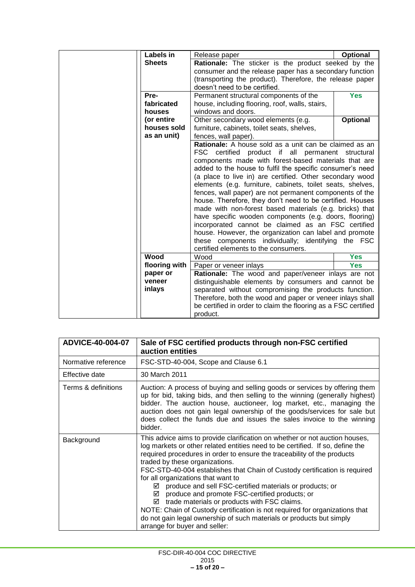| Labels in     |               | Release paper                                                  | Optional        |
|---------------|---------------|----------------------------------------------------------------|-----------------|
| <b>Sheets</b> |               | Rationale: The sticker is the product seeked by the            |                 |
|               |               | consumer and the release paper has a secondary function        |                 |
|               |               | (transporting the product). Therefore, the release paper       |                 |
|               |               | doesn't need to be certified.                                  |                 |
| Pre-          |               | Permanent structural components of the                         | <b>Yes</b>      |
| fabricated    |               | house, including flooring, roof, walls, stairs,                |                 |
| houses        |               | windows and doors.                                             |                 |
| (or entire    |               | Other secondary wood elements (e.g.                            | <b>Optional</b> |
|               | houses sold   | furniture, cabinets, toilet seats, shelves,                    |                 |
| as an unit)   |               | fences, wall paper).                                           |                 |
|               |               | Rationale: A house sold as a unit can be claimed as an         |                 |
|               |               | <b>FSC</b><br>certified product if all permanent structural    |                 |
|               |               | components made with forest-based materials that are           |                 |
|               |               | added to the house to fulfil the specific consumer's need      |                 |
|               |               | (a place to live in) are certified. Other secondary wood       |                 |
|               |               | elements (e.g. furniture, cabinets, toilet seats, shelves,     |                 |
|               |               | fences, wall paper) are not permanent components of the        |                 |
|               |               | house. Therefore, they don't need to be certified. Houses      |                 |
|               |               | made with non-forest based materials (e.g. bricks) that        |                 |
|               |               | have specific wooden components (e.g. doors, flooring)         |                 |
|               |               | incorporated cannot be claimed as an FSC certified             |                 |
|               |               | house. However, the organization can label and promote         |                 |
|               |               | these components individually; identifying the FSC             |                 |
|               |               | certified elements to the consumers.                           |                 |
| Wood          |               | Wood                                                           | <b>Yes</b>      |
|               | flooring with | Paper or veneer inlays                                         | <b>Yes</b>      |
| paper or      |               | Rationale: The wood and paper/veneer inlays are not            |                 |
| veneer        |               | distinguishable elements by consumers and cannot be            |                 |
| inlays        |               | separated without compromising the products function.          |                 |
|               |               | Therefore, both the wood and paper or veneer inlays shall      |                 |
|               |               | be certified in order to claim the flooring as a FSC certified |                 |
|               |               | product.                                                       |                 |

| ADVICE-40-004-07    | Sale of FSC certified products through non-FSC certified<br>auction entities                                                                                                                                                                                                                                                                                                                                                                                                                                                                                                                                                                                                                                                                                              |
|---------------------|---------------------------------------------------------------------------------------------------------------------------------------------------------------------------------------------------------------------------------------------------------------------------------------------------------------------------------------------------------------------------------------------------------------------------------------------------------------------------------------------------------------------------------------------------------------------------------------------------------------------------------------------------------------------------------------------------------------------------------------------------------------------------|
| Normative reference | FSC-STD-40-004, Scope and Clause 6.1                                                                                                                                                                                                                                                                                                                                                                                                                                                                                                                                                                                                                                                                                                                                      |
| Effective date      | 30 March 2011                                                                                                                                                                                                                                                                                                                                                                                                                                                                                                                                                                                                                                                                                                                                                             |
| Terms & definitions | Auction: A process of buying and selling goods or services by offering them<br>up for bid, taking bids, and then selling to the winning (generally highest)<br>bidder. The auction house, auctioneer, log market, etc., managing the<br>auction does not gain legal ownership of the goods/services for sale but<br>does collect the funds due and issues the sales invoice to the winning<br>bidder.                                                                                                                                                                                                                                                                                                                                                                     |
| Background          | This advice aims to provide clarification on whether or not auction houses,<br>log markets or other related entities need to be certified. If so, define the<br>required procedures in order to ensure the traceability of the products<br>traded by these organizations.<br>FSC-STD-40-004 establishes that Chain of Custody certification is required<br>for all organizations that want to<br>produce and sell FSC-certified materials or products; or<br>☑<br>produce and promote FSC-certified products; or<br>☑<br>$\boxtimes$ trade materials or products with FSC claims.<br>NOTE: Chain of Custody certification is not required for organizations that<br>do not gain legal ownership of such materials or products but simply<br>arrange for buyer and seller: |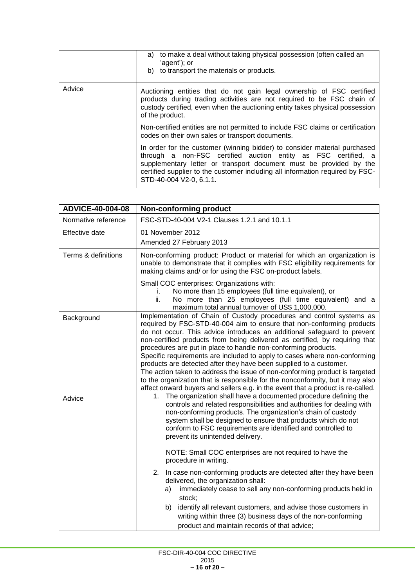|        | to make a deal without taking physical possession (often called an<br>a)<br>'agent'); or<br>b) to transport the materials or products.                                                                                                                                                                                        |
|--------|-------------------------------------------------------------------------------------------------------------------------------------------------------------------------------------------------------------------------------------------------------------------------------------------------------------------------------|
| Advice | Auctioning entities that do not gain legal ownership of FSC certified<br>products during trading activities are not required to be FSC chain of<br>custody certified, even when the auctioning entity takes physical possession<br>of the product.                                                                            |
|        | Non-certified entities are not permitted to include FSC claims or certification<br>codes on their own sales or transport documents.                                                                                                                                                                                           |
|        | In order for the customer (winning bidder) to consider material purchased<br>through a non-FSC certified auction entity as FSC certified, a<br>supplementary letter or transport document must be provided by the<br>certified supplier to the customer including all information required by FSC-<br>STD-40-004 V2-0, 6.1.1. |

| ADVICE-40-004-08    | <b>Non-conforming product</b>                                                                                                                                                                                                                                                                                                                                                                                                                                                                                                                                                                                                                                                                                                                                                    |
|---------------------|----------------------------------------------------------------------------------------------------------------------------------------------------------------------------------------------------------------------------------------------------------------------------------------------------------------------------------------------------------------------------------------------------------------------------------------------------------------------------------------------------------------------------------------------------------------------------------------------------------------------------------------------------------------------------------------------------------------------------------------------------------------------------------|
| Normative reference | FSC-STD-40-004 V2-1 Clauses 1.2.1 and 10.1.1                                                                                                                                                                                                                                                                                                                                                                                                                                                                                                                                                                                                                                                                                                                                     |
| Effective date      | 01 November 2012<br>Amended 27 February 2013                                                                                                                                                                                                                                                                                                                                                                                                                                                                                                                                                                                                                                                                                                                                     |
| Terms & definitions | Non-conforming product: Product or material for which an organization is<br>unable to demonstrate that it complies with FSC eligibility requirements for<br>making claims and/ or for using the FSC on-product labels.                                                                                                                                                                                                                                                                                                                                                                                                                                                                                                                                                           |
|                     | Small COC enterprises: Organizations with:<br>No more than 15 employees (full time equivalent), or<br>i.<br>ii.<br>No more than 25 employees (full time equivalent) and a<br>maximum total annual turnover of US\$ 1,000,000.                                                                                                                                                                                                                                                                                                                                                                                                                                                                                                                                                    |
| Background          | Implementation of Chain of Custody procedures and control systems as<br>required by FSC-STD-40-004 aim to ensure that non-conforming products<br>do not occur. This advice introduces an additional safeguard to prevent<br>non-certified products from being delivered as certified, by requiring that<br>procedures are put in place to handle non-conforming products.<br>Specific requirements are included to apply to cases where non-conforming<br>products are detected after they have been supplied to a customer.<br>The action taken to address the issue of non-conforming product is targeted<br>to the organization that is responsible for the nonconformity, but it may also<br>affect onward buyers and sellers e.g. in the event that a product is re-called. |
| Advice              | The organization shall have a documented procedure defining the<br>1.<br>controls and related responsibilities and authorities for dealing with<br>non-conforming products. The organization's chain of custody<br>system shall be designed to ensure that products which do not<br>conform to FSC requirements are identified and controlled to<br>prevent its unintended delivery.<br>NOTE: Small COC enterprises are not required to have the<br>procedure in writing.                                                                                                                                                                                                                                                                                                        |
|                     | 2. In case non-conforming products are detected after they have been<br>delivered, the organization shall:<br>immediately cease to sell any non-conforming products held in<br>a)<br>stock;<br>identify all relevant customers, and advise those customers in<br>b).<br>writing within three (3) business days of the non-conforming<br>product and maintain records of that advice;                                                                                                                                                                                                                                                                                                                                                                                             |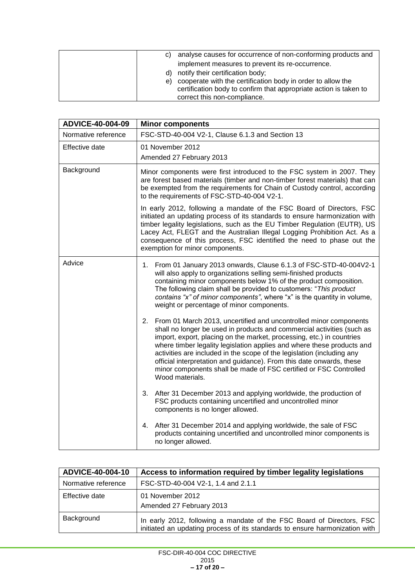| C) | analyse causes for occurrence of non-conforming products and      |
|----|-------------------------------------------------------------------|
|    | implement measures to prevent its re-occurrence.                  |
| d) | notify their certification body;                                  |
| e) | cooperate with the certification body in order to allow the       |
|    | certification body to confirm that appropriate action is taken to |
|    | correct this non-compliance.                                      |

| ADVICE-40-004-09    | <b>Minor components</b>                                                                                                                                                                                                                                                                                                                                                                                                                                                                                                                     |
|---------------------|---------------------------------------------------------------------------------------------------------------------------------------------------------------------------------------------------------------------------------------------------------------------------------------------------------------------------------------------------------------------------------------------------------------------------------------------------------------------------------------------------------------------------------------------|
| Normative reference | FSC-STD-40-004 V2-1, Clause 6.1.3 and Section 13                                                                                                                                                                                                                                                                                                                                                                                                                                                                                            |
| Effective date      | 01 November 2012<br>Amended 27 February 2013                                                                                                                                                                                                                                                                                                                                                                                                                                                                                                |
| Background          | Minor components were first introduced to the FSC system in 2007. They<br>are forest based materials (timber and non-timber forest materials) that can<br>be exempted from the requirements for Chain of Custody control, according<br>to the requirements of FSC-STD-40-004 V2-1.                                                                                                                                                                                                                                                          |
|                     | In early 2012, following a mandate of the FSC Board of Directors, FSC<br>initiated an updating process of its standards to ensure harmonization with<br>timber legality legislations, such as the EU Timber Regulation (EUTR), US<br>Lacey Act, FLEGT and the Australian Illegal Logging Prohibition Act. As a<br>consequence of this process, FSC identified the need to phase out the<br>exemption for minor components.                                                                                                                  |
| Advice              | From 01 January 2013 onwards, Clause 6.1.3 of FSC-STD-40-004V2-1<br>1.<br>will also apply to organizations selling semi-finished products<br>containing minor components below 1% of the product composition.<br>The following claim shall be provided to customers: "This product<br>contains "x" of minor components", where "x" is the quantity in volume,<br>weight or percentage of minor components.                                                                                                                                  |
|                     | 2. From 01 March 2013, uncertified and uncontrolled minor components<br>shall no longer be used in products and commercial activities (such as<br>import, export, placing on the market, processing, etc.) in countries<br>where timber legality legislation applies and where these products and<br>activities are included in the scope of the legislation (including any<br>official interpretation and guidance). From this date onwards, these<br>minor components shall be made of FSC certified or FSC Controlled<br>Wood materials. |
|                     | After 31 December 2013 and applying worldwide, the production of<br>3.<br>FSC products containing uncertified and uncontrolled minor<br>components is no longer allowed.                                                                                                                                                                                                                                                                                                                                                                    |
|                     | 4. After 31 December 2014 and applying worldwide, the sale of FSC<br>products containing uncertified and uncontrolled minor components is<br>no longer allowed.                                                                                                                                                                                                                                                                                                                                                                             |

| <b>ADVICE-40-004-10</b> | Access to information required by timber legality legislations                                                                                       |
|-------------------------|------------------------------------------------------------------------------------------------------------------------------------------------------|
| Normative reference     | FSC-STD-40-004 V2-1, 1.4 and 2.1.1                                                                                                                   |
| Effective date          | 01 November 2012<br>Amended 27 February 2013                                                                                                         |
| Background              | In early 2012, following a mandate of the FSC Board of Directors, FSC<br>initiated an updating process of its standards to ensure harmonization with |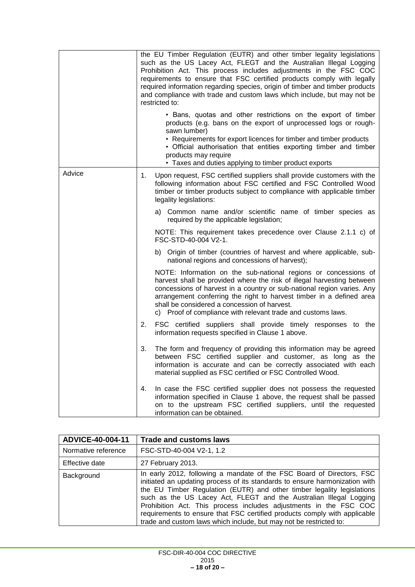|        | the EU Timber Regulation (EUTR) and other timber legality legislations<br>such as the US Lacey Act, FLEGT and the Australian Illegal Logging<br>Prohibition Act. This process includes adjustments in the FSC COC<br>requirements to ensure that FSC certified products comply with legally<br>required information regarding species, origin of timber and timber products<br>and compliance with trade and custom laws which include, but may not be<br>restricted to: |
|--------|--------------------------------------------------------------------------------------------------------------------------------------------------------------------------------------------------------------------------------------------------------------------------------------------------------------------------------------------------------------------------------------------------------------------------------------------------------------------------|
|        | • Bans, quotas and other restrictions on the export of timber<br>products (e.g. bans on the export of unprocessed logs or rough-<br>sawn lumber)<br>• Requirements for export licences for timber and timber products<br>• Official authorisation that entities exporting timber and timber<br>products may require<br>• Taxes and duties applying to timber product exports                                                                                             |
| Advice | Upon request, FSC certified suppliers shall provide customers with the<br>1.<br>following information about FSC certified and FSC Controlled Wood<br>timber or timber products subject to compliance with applicable timber<br>legality legislations:                                                                                                                                                                                                                    |
|        | a) Common name and/or scientific name of timber species as<br>required by the applicable legislation;                                                                                                                                                                                                                                                                                                                                                                    |
|        | NOTE: This requirement takes precedence over Clause 2.1.1 c) of<br>FSC-STD-40-004 V2-1.                                                                                                                                                                                                                                                                                                                                                                                  |
|        | b) Origin of timber (countries of harvest and where applicable, sub-<br>national regions and concessions of harvest);                                                                                                                                                                                                                                                                                                                                                    |
|        | NOTE: Information on the sub-national regions or concessions of<br>harvest shall be provided where the risk of illegal harvesting between<br>concessions of harvest in a country or sub-national region varies. Any<br>arrangement conferring the right to harvest timber in a defined area<br>shall be considered a concession of harvest.<br>c) Proof of compliance with relevant trade and customs laws.                                                              |
|        | FSC certified suppliers shall provide timely responses to the<br>2.<br>information requests specified in Clause 1 above.                                                                                                                                                                                                                                                                                                                                                 |
|        | The form and frequency of providing this information may be agreed<br>3.<br>between FSC certified supplier and customer, as long as the<br>information is accurate and can be correctly associated with each<br>material supplied as FSC certified or FSC Controlled Wood.                                                                                                                                                                                               |
|        | In case the FSC certified supplier does not possess the requested<br>4.<br>information specified in Clause 1 above, the request shall be passed<br>on to the upstream FSC certified suppliers, until the requested<br>information can be obtained.                                                                                                                                                                                                                       |

| ADVICE-40-004-11    | <b>Trade and customs laws</b>                                                                                                                                                                                                                                                                                                                                                                                                                                                                                                |
|---------------------|------------------------------------------------------------------------------------------------------------------------------------------------------------------------------------------------------------------------------------------------------------------------------------------------------------------------------------------------------------------------------------------------------------------------------------------------------------------------------------------------------------------------------|
| Normative reference | FSC-STD-40-004 V2-1, 1.2                                                                                                                                                                                                                                                                                                                                                                                                                                                                                                     |
| Effective date      | 27 February 2013.                                                                                                                                                                                                                                                                                                                                                                                                                                                                                                            |
| Background          | In early 2012, following a mandate of the FSC Board of Directors, FSC<br>initiated an updating process of its standards to ensure harmonization with<br>the EU Timber Regulation (EUTR) and other timber legality legislations<br>such as the US Lacey Act, FLEGT and the Australian Illegal Logging<br>Prohibition Act. This process includes adjustments in the FSC COC<br>requirements to ensure that FSC certified products comply with applicable<br>trade and custom laws which include, but may not be restricted to: |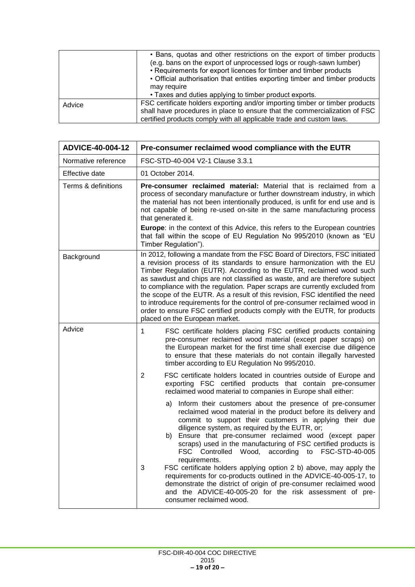|        | • Bans, quotas and other restrictions on the export of timber products                                                                  |
|--------|-----------------------------------------------------------------------------------------------------------------------------------------|
|        | (e.g. bans on the export of unprocessed logs or rough-sawn lumber)<br>• Requirements for export licences for timber and timber products |
|        | • Official authorisation that entities exporting timber and timber products                                                             |
|        | may require                                                                                                                             |
|        | • Taxes and duties applying to timber product exports.                                                                                  |
| Advice | FSC certificate holders exporting and/or importing timber or timber products                                                            |
|        | shall have procedures in place to ensure that the commercialization of FSC                                                              |
|        | certified products comply with all applicable trade and custom laws.                                                                    |

| ADVICE-40-004-12    | Pre-consumer reclaimed wood compliance with the EUTR                                                                                                                                                                                                                                                                                                                                                                                                                                                                                                                                                                                                                                                                                                             |
|---------------------|------------------------------------------------------------------------------------------------------------------------------------------------------------------------------------------------------------------------------------------------------------------------------------------------------------------------------------------------------------------------------------------------------------------------------------------------------------------------------------------------------------------------------------------------------------------------------------------------------------------------------------------------------------------------------------------------------------------------------------------------------------------|
| Normative reference | FSC-STD-40-004 V2-1 Clause 3.3.1                                                                                                                                                                                                                                                                                                                                                                                                                                                                                                                                                                                                                                                                                                                                 |
| Effective date      | 01 October 2014.                                                                                                                                                                                                                                                                                                                                                                                                                                                                                                                                                                                                                                                                                                                                                 |
| Terms & definitions | Pre-consumer reclaimed material: Material that is reclaimed from a<br>process of secondary manufacture or further downstream industry, in which<br>the material has not been intentionally produced, is unfit for end use and is<br>not capable of being re-used on-site in the same manufacturing process<br>that generated it.<br><b>Europe:</b> in the context of this Advice, this refers to the European countries<br>that fall within the scope of EU Regulation No 995/2010 (known as "EU<br>Timber Regulation").                                                                                                                                                                                                                                         |
| Background          | In 2012, following a mandate from the FSC Board of Directors, FSC initiated<br>a revision process of its standards to ensure harmonization with the EU<br>Timber Regulation (EUTR). According to the EUTR, reclaimed wood such<br>as sawdust and chips are not classified as waste, and are therefore subject<br>to compliance with the regulation. Paper scraps are currently excluded from<br>the scope of the EUTR. As a result of this revision, FSC identified the need<br>to introduce requirements for the control of pre-consumer reclaimed wood in<br>order to ensure FSC certified products comply with the EUTR, for products<br>placed on the European market.                                                                                       |
| Advice              | FSC certificate holders placing FSC certified products containing<br>1<br>pre-consumer reclaimed wood material (except paper scraps) on<br>the European market for the first time shall exercise due diligence<br>to ensure that these materials do not contain illegally harvested<br>timber according to EU Regulation No 995/2010.                                                                                                                                                                                                                                                                                                                                                                                                                            |
|                     | 2<br>FSC certificate holders located in countries outside of Europe and<br>exporting FSC certified products that contain pre-consumer<br>reclaimed wood material to companies in Europe shall either:                                                                                                                                                                                                                                                                                                                                                                                                                                                                                                                                                            |
|                     | Inform their customers about the presence of pre-consumer<br>a)<br>reclaimed wood material in the product before its delivery and<br>commit to support their customers in applying their due<br>diligence system, as required by the EUTR, or;<br>Ensure that pre-consumer reclaimed wood (except paper<br>b)<br>scraps) used in the manufacturing of FSC certified products is<br>FSC Controlled Wood, according to FSC-STD-40-005<br>requirements.<br>FSC certificate holders applying option 2 b) above, may apply the<br>3<br>requirements for co-products outlined in the ADVICE-40-005-17, to<br>demonstrate the district of origin of pre-consumer reclaimed wood<br>and the ADVICE-40-005-20 for the risk assessment of pre-<br>consumer reclaimed wood. |